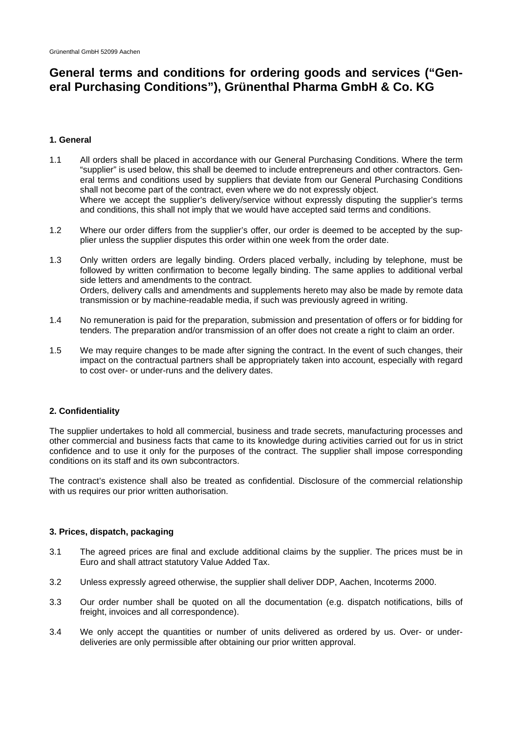# **General terms and conditions for ordering goods and services ("General Purchasing Conditions"), Grünenthal Pharma GmbH & Co. KG**

# **1. General**

- 1.1 All orders shall be placed in accordance with our General Purchasing Conditions. Where the term "supplier" is used below, this shall be deemed to include entrepreneurs and other contractors. General terms and conditions used by suppliers that deviate from our General Purchasing Conditions shall not become part of the contract, even where we do not expressly object. Where we accept the supplier's delivery/service without expressly disputing the supplier's terms and conditions, this shall not imply that we would have accepted said terms and conditions.
- 1.2 Where our order differs from the supplier's offer, our order is deemed to be accepted by the supplier unless the supplier disputes this order within one week from the order date.
- 1.3 Only written orders are legally binding. Orders placed verbally, including by telephone, must be followed by written confirmation to become legally binding. The same applies to additional verbal side letters and amendments to the contract. Orders, delivery calls and amendments and supplements hereto may also be made by remote data transmission or by machine-readable media, if such was previously agreed in writing.
- 1.4 No remuneration is paid for the preparation, submission and presentation of offers or for bidding for tenders. The preparation and/or transmission of an offer does not create a right to claim an order.
- 1.5 We may require changes to be made after signing the contract. In the event of such changes, their impact on the contractual partners shall be appropriately taken into account, especially with regard to cost over- or under-runs and the delivery dates.

# **2. Confidentiality**

The supplier undertakes to hold all commercial, business and trade secrets, manufacturing processes and other commercial and business facts that came to its knowledge during activities carried out for us in strict confidence and to use it only for the purposes of the contract. The supplier shall impose corresponding conditions on its staff and its own subcontractors.

The contract's existence shall also be treated as confidential. Disclosure of the commercial relationship with us requires our prior written authorisation.

#### **3. Prices, dispatch, packaging**

- 3.1 The agreed prices are final and exclude additional claims by the supplier. The prices must be in Euro and shall attract statutory Value Added Tax.
- 3.2 Unless expressly agreed otherwise, the supplier shall deliver DDP, Aachen, Incoterms 2000.
- 3.3 Our order number shall be quoted on all the documentation (e.g. dispatch notifications, bills of freight, invoices and all correspondence).
- 3.4 We only accept the quantities or number of units delivered as ordered by us. Over- or underdeliveries are only permissible after obtaining our prior written approval.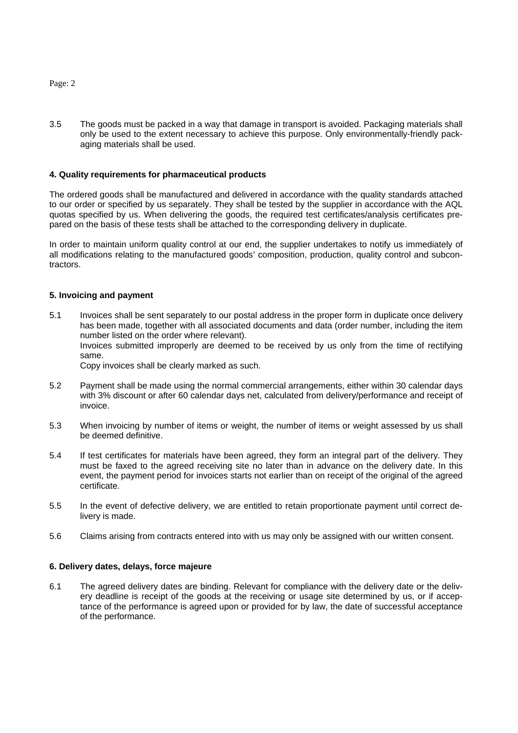3.5 The goods must be packed in a way that damage in transport is avoided. Packaging materials shall only be used to the extent necessary to achieve this purpose. Only environmentally-friendly packaging materials shall be used.

### **4. Quality requirements for pharmaceutical products**

The ordered goods shall be manufactured and delivered in accordance with the quality standards attached to our order or specified by us separately. They shall be tested by the supplier in accordance with the AQL quotas specified by us. When delivering the goods, the required test certificates/analysis certificates prepared on the basis of these tests shall be attached to the corresponding delivery in duplicate.

In order to maintain uniform quality control at our end, the supplier undertakes to notify us immediately of all modifications relating to the manufactured goods' composition, production, quality control and subcontractors.

#### **5. Invoicing and payment**

5.1 Invoices shall be sent separately to our postal address in the proper form in duplicate once delivery has been made, together with all associated documents and data (order number, including the item number listed on the order where relevant). Invoices submitted improperly are deemed to be received by us only from the time of rectifying

same.

Copy invoices shall be clearly marked as such.

- 5.2 Payment shall be made using the normal commercial arrangements, either within 30 calendar days with 3% discount or after 60 calendar days net, calculated from delivery/performance and receipt of invoice.
- 5.3 When invoicing by number of items or weight, the number of items or weight assessed by us shall be deemed definitive.
- 5.4 If test certificates for materials have been agreed, they form an integral part of the delivery. They must be faxed to the agreed receiving site no later than in advance on the delivery date. In this event, the payment period for invoices starts not earlier than on receipt of the original of the agreed certificate.
- 5.5 In the event of defective delivery, we are entitled to retain proportionate payment until correct delivery is made.
- 5.6 Claims arising from contracts entered into with us may only be assigned with our written consent.

#### **6. Delivery dates, delays, force majeure**

6.1 The agreed delivery dates are binding. Relevant for compliance with the delivery date or the delivery deadline is receipt of the goods at the receiving or usage site determined by us, or if acceptance of the performance is agreed upon or provided for by law, the date of successful acceptance of the performance.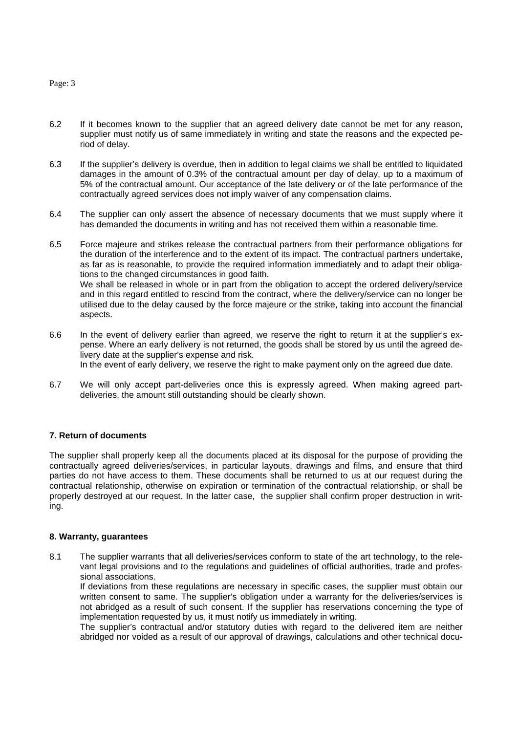- 6.2 If it becomes known to the supplier that an agreed delivery date cannot be met for any reason, supplier must notify us of same immediately in writing and state the reasons and the expected period of delay.
- 6.3 If the supplier's delivery is overdue, then in addition to legal claims we shall be entitled to liquidated damages in the amount of 0.3% of the contractual amount per day of delay, up to a maximum of 5% of the contractual amount. Our acceptance of the late delivery or of the late performance of the contractually agreed services does not imply waiver of any compensation claims.
- 6.4 The supplier can only assert the absence of necessary documents that we must supply where it has demanded the documents in writing and has not received them within a reasonable time.
- 6.5 Force majeure and strikes release the contractual partners from their performance obligations for the duration of the interference and to the extent of its impact. The contractual partners undertake, as far as is reasonable, to provide the required information immediately and to adapt their obligations to the changed circumstances in good faith. We shall be released in whole or in part from the obligation to accept the ordered delivery/service and in this regard entitled to rescind from the contract, where the delivery/service can no longer be utilised due to the delay caused by the force majeure or the strike, taking into account the financial aspects.
- 6.6 In the event of delivery earlier than agreed, we reserve the right to return it at the supplier's expense. Where an early delivery is not returned, the goods shall be stored by us until the agreed delivery date at the supplier's expense and risk. In the event of early delivery, we reserve the right to make payment only on the agreed due date.
- 6.7 We will only accept part-deliveries once this is expressly agreed. When making agreed partdeliveries, the amount still outstanding should be clearly shown.

## **7. Return of documents**

The supplier shall properly keep all the documents placed at its disposal for the purpose of providing the contractually agreed deliveries/services, in particular layouts, drawings and films, and ensure that third parties do not have access to them. These documents shall be returned to us at our request during the contractual relationship, otherwise on expiration or termination of the contractual relationship, or shall be properly destroyed at our request. In the latter case, the supplier shall confirm proper destruction in writing.

#### **8. Warranty, guarantees**

8.1 The supplier warrants that all deliveries/services conform to state of the art technology, to the relevant legal provisions and to the regulations and guidelines of official authorities, trade and professional associations.

If deviations from these regulations are necessary in specific cases, the supplier must obtain our written consent to same. The supplier's obligation under a warranty for the deliveries/services is not abridged as a result of such consent. If the supplier has reservations concerning the type of implementation requested by us, it must notify us immediately in writing.

The supplier's contractual and/or statutory duties with regard to the delivered item are neither abridged nor voided as a result of our approval of drawings, calculations and other technical docu-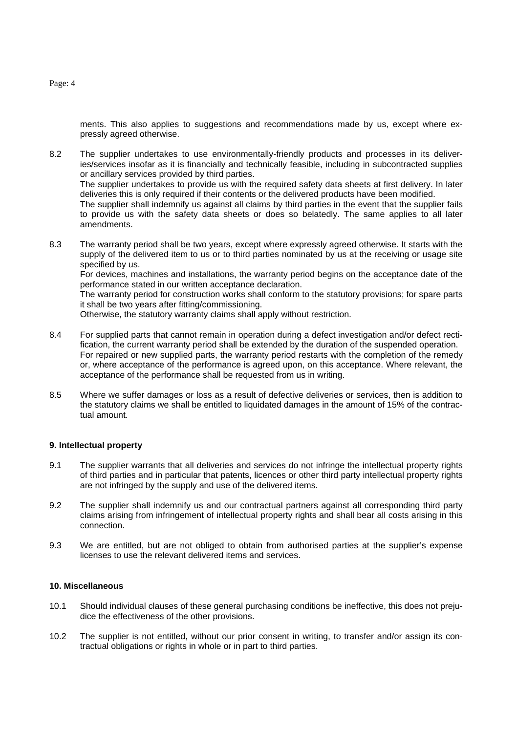ments. This also applies to suggestions and recommendations made by us, except where expressly agreed otherwise.

8.2 The supplier undertakes to use environmentally-friendly products and processes in its deliveries/services insofar as it is financially and technically feasible, including in subcontracted supplies or ancillary services provided by third parties. The supplier undertakes to provide us with the required safety data sheets at first delivery. In later deliveries this is only required if their contents or the delivered products have been modified.

The supplier shall indemnify us against all claims by third parties in the event that the supplier fails to provide us with the safety data sheets or does so belatedly. The same applies to all later amendments.

8.3 The warranty period shall be two years, except where expressly agreed otherwise. It starts with the supply of the delivered item to us or to third parties nominated by us at the receiving or usage site specified by us.

For devices, machines and installations, the warranty period begins on the acceptance date of the performance stated in our written acceptance declaration.

The warranty period for construction works shall conform to the statutory provisions; for spare parts it shall be two years after fitting/commissioning.

Otherwise, the statutory warranty claims shall apply without restriction.

- 8.4 For supplied parts that cannot remain in operation during a defect investigation and/or defect rectification, the current warranty period shall be extended by the duration of the suspended operation. For repaired or new supplied parts, the warranty period restarts with the completion of the remedy or, where acceptance of the performance is agreed upon, on this acceptance. Where relevant, the acceptance of the performance shall be requested from us in writing.
- 8.5 Where we suffer damages or loss as a result of defective deliveries or services, then is addition to the statutory claims we shall be entitled to liquidated damages in the amount of 15% of the contractual amount.

#### **9. Intellectual property**

- 9.1 The supplier warrants that all deliveries and services do not infringe the intellectual property rights of third parties and in particular that patents, licences or other third party intellectual property rights are not infringed by the supply and use of the delivered items.
- 9.2 The supplier shall indemnify us and our contractual partners against all corresponding third party claims arising from infringement of intellectual property rights and shall bear all costs arising in this connection.
- 9.3 We are entitled, but are not obliged to obtain from authorised parties at the supplier's expense licenses to use the relevant delivered items and services.

## **10. Miscellaneous**

- 10.1 Should individual clauses of these general purchasing conditions be ineffective, this does not prejudice the effectiveness of the other provisions.
- 10.2 The supplier is not entitled, without our prior consent in writing, to transfer and/or assign its contractual obligations or rights in whole or in part to third parties.